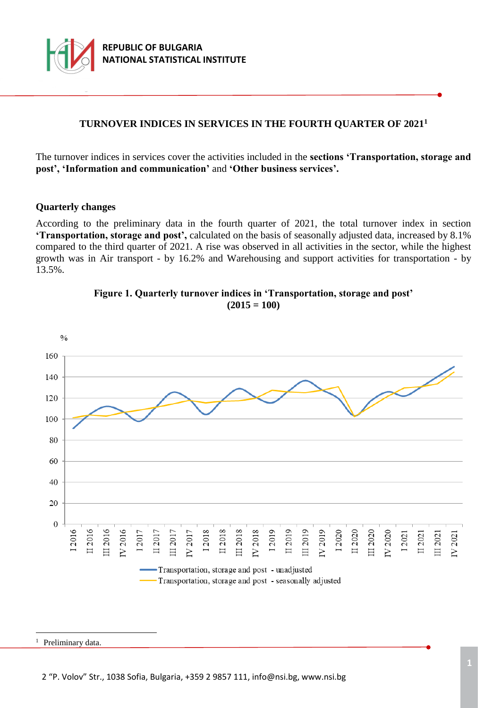

## **TURNOVER INDICES IN SERVICES IN THE FOURTH QUARTER OF 2021<sup>1</sup>**

The turnover indices in services cover the activities included in the **sections 'Transportation, storage and post', 'Information and communication'** and **'Other business services'.**

#### **Quarterly changes**

According to the preliminary data in the fourth quarter of 2021, the total turnover index in section **'Transportation, storage and post',** calculated on the basis of seasonally adjusted data, increased by 8.1% compared to the third quarter of 2021. A rise was observed in all activities in the sector, while the highest growth was in Air transport - by 16.2% and Warehousing and support activities for transportation - by 13.5%.





a<br>B

<sup>&</sup>lt;sup>1</sup> Preliminary data.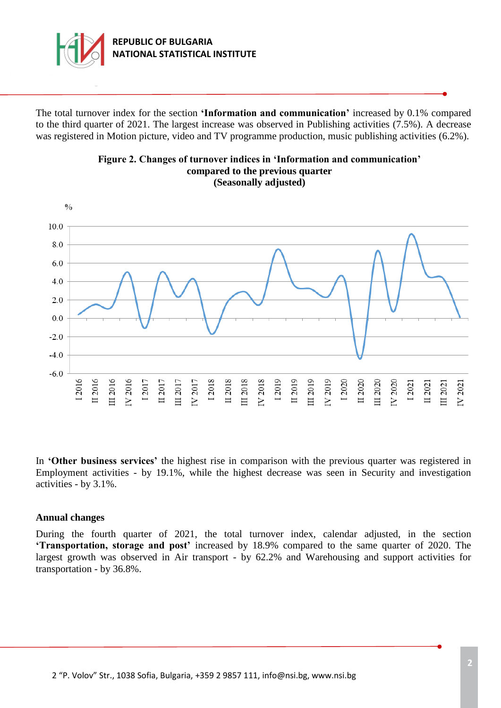

The total turnover index for the section **'Information and communication'** increased by 0.1% compared to the third quarter of 2021. The largest increase was observed in Publishing activities (7.5%). A decrease was registered in Motion picture, video and TV programme production, music publishing activities (6.2%).



**Figure 2. Changes of turnover indices in 'Information and communication' compared to the previous quarter (Seasonally adjusted)**

In **'Other business services'** the highest rise in comparison with the previous quarter was registered in Employment activities - by 19.1%, while the highest decrease was seen in Security and investigation activities - by 3.1%.

#### **Annual changes**

During the fourth quarter of 2021, the total turnover index, calendar adjusted, in the section **'Transportation, storage and post'** increased by 18.9% compared to the same quarter of 2020. The largest growth was observed in Air transport - by 62.2% and Warehousing and support activities for transportation - by 36.8%.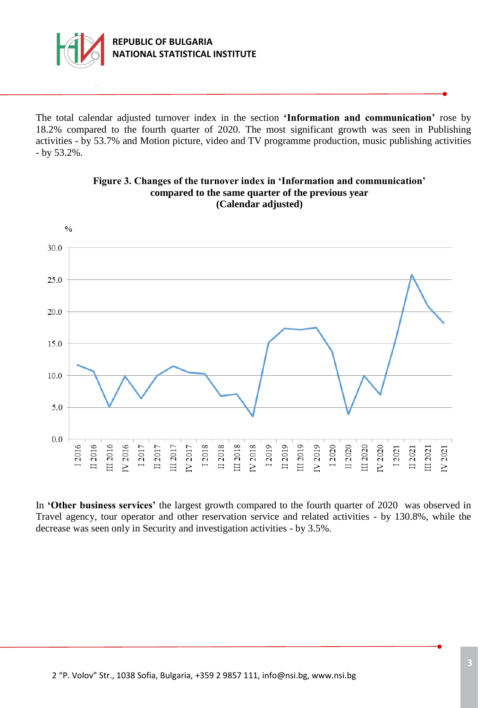

## **REPUBLIC OF BULGARIA NATIONAL STATISTICAL INSTITUTE**

The total calendar adjusted turnover index in the section **'Information and communication'** rose by 18.2% compared to the fourth quarter of 2020. The most significant growth was seen in Publishing activities - by 53.7% and Motion picture, video and TV programme production, music publishing activities - by 53.2%.



#### **Figure 3. Changes of the turnover index in 'Information and communication' compared to the same quarter of the previous year (Calendar adjusted)**

In **'Other business services'** the largest growth compared to the fourth quarter of 2020 was observed in Travel agency, tour operator and other reservation service and related activities - by 130.8%, while the decrease was seen only in Security and investigation activities - by 3.5%.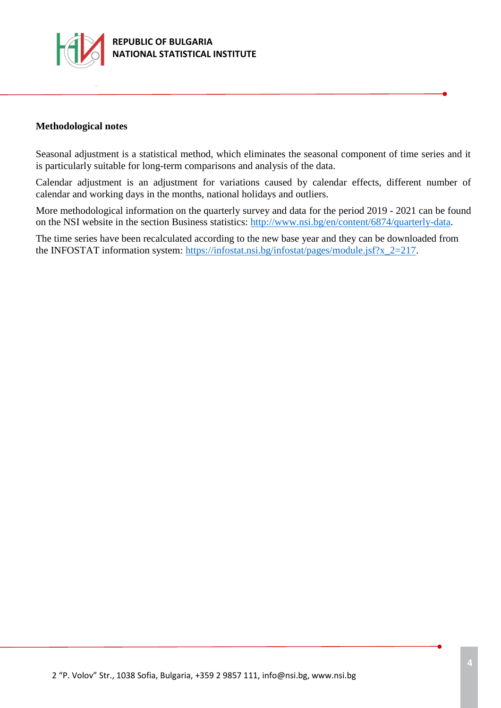

#### **Methodological notes**

Seasonal adjustment is a statistical method, which eliminates the seasonal component of time series and it is particularly suitable for long-term comparisons and analysis of the data.

Calendar adjustment is an adjustment for variations caused by calendar effects, different number of calendar and working days in the months, national holidays and outliers.

More methodological information on the quarterly survey and data for the period 2019 - 2021 can be found on the NSI website in the section Business statistics: [http://www.nsi.bg/en/content/6874/quarterly-data.](http://www.nsi.bg/en/content/6874/quarterly-data)

The time series have been recalculated according to the new base year and they can be downloaded from the INFOSTAT information system: [https://infostat.nsi.bg/infostat/pages/module.jsf?x\\_2=217.](https://infostat.nsi.bg/infostat/pages/module.jsf?x_2=217)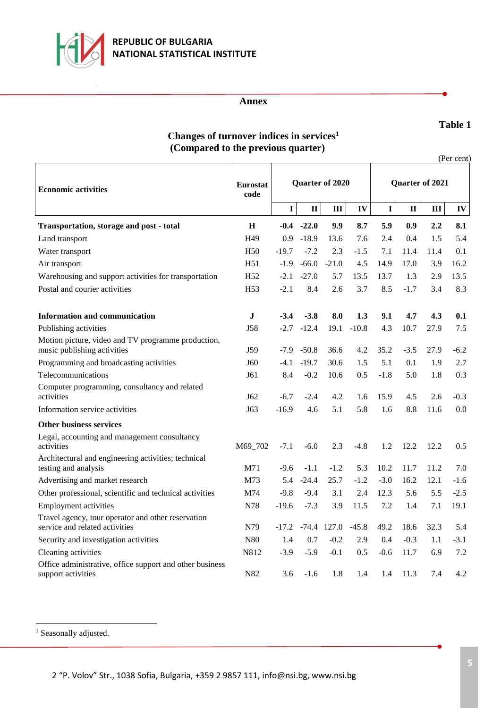

## **REPUBLIC OF BULGARIA NATIONAL STATISTICAL INSTITUTE**

#### **Annex**

#### **Table 1**

# **Changes of turnover indices in services<sup>1</sup> (Compared to the previous quarter)**

(Per cent)

| <b>Economic activities</b>                                                           | <b>Eurostat</b><br>code | Quarter of 2020 |              |               |         | Quarter of 2021 |              |      |            |
|--------------------------------------------------------------------------------------|-------------------------|-----------------|--------------|---------------|---------|-----------------|--------------|------|------------|
|                                                                                      |                         | I               | $\mathbf{I}$ | III           | IV      | I               | $\mathbf{I}$ | III  | ${\bf IV}$ |
| Transportation, storage and post - total                                             | $\mathbf H$             | $-0.4$          | $-22.0$      | 9.9           | 8.7     | 5.9             | 0.9          | 2.2  | 8.1        |
| Land transport                                                                       | H <sub>49</sub>         | 0.9             | $-18.9$      | 13.6          | 7.6     | 2.4             | 0.4          | 1.5  | 5.4        |
| Water transport                                                                      | H <sub>50</sub>         | $-19.7$         | $-7.2$       | 2.3           | $-1.5$  | 7.1             | 11.4         | 11.4 | 0.1        |
| Air transport                                                                        | H51                     | $-1.9$          | $-66.0$      | $-21.0$       | 4.5     | 14.9            | 17.0         | 3.9  | 16.2       |
| Warehousing and support activities for transportation                                | H <sub>52</sub>         | $-2.1$          | $-27.0$      | 5.7           | 13.5    | 13.7            | 1.3          | 2.9  | 13.5       |
| Postal and courier activities                                                        | H <sub>53</sub>         | $-2.1$          | 8.4          | 2.6           | 3.7     | 8.5             | $-1.7$       | 3.4  | 8.3        |
| Information and communication                                                        | J                       | $-3.4$          | $-3.8$       | 8.0           | 1.3     | 9.1             | 4.7          | 4.3  | 0.1        |
| Publishing activities                                                                | J58                     | $-2.7$          | $-12.4$      | 19.1          | $-10.8$ | 4.3             | 10.7         | 27.9 | 7.5        |
| Motion picture, video and TV programme production,<br>music publishing activities    | J59                     | $-7.9$          | $-50.8$      | 36.6          | 4.2     | 35.2            | $-3.5$       | 27.9 | $-6.2$     |
| Programming and broadcasting activities                                              | J60                     | $-4.1$          | $-19.7$      | 30.6          | 1.5     | 5.1             | 0.1          | 1.9  | 2.7        |
| Telecommunications                                                                   | J61                     | 8.4             | $-0.2$       | 10.6          | 0.5     | $-1.8$          | 5.0          | 1.8  | 0.3        |
| Computer programming, consultancy and related<br>activities                          | J62                     | $-6.7$          | $-2.4$       | 4.2           | 1.6     | 15.9            | 4.5          | 2.6  | $-0.3$     |
| Information service activities                                                       | J63                     | $-16.9$         | 4.6          | 5.1           | 5.8     | 1.6             | 8.8          | 11.6 | 0.0        |
| <b>Other business services</b>                                                       |                         |                 |              |               |         |                 |              |      |            |
| Legal, accounting and management consultancy<br>activities                           | M69 702                 | $-7.1$          | $-6.0$       | 2.3           | $-4.8$  | 1.2             | 12.2         | 12.2 | 0.5        |
| Architectural and engineering activities; technical<br>testing and analysis          | M71                     | $-9.6$          | $-1.1$       | $-1.2$        | 5.3     | 10.2            | 11.7         | 11.2 | 7.0        |
| Advertising and market research                                                      | M73                     | 5.4             | $-24.4$      | 25.7          | $-1.2$  | $-3.0$          | 16.2         | 12.1 | $-1.6$     |
| Other professional, scientific and technical activities                              | M74                     | $-9.8$          | $-9.4$       | 3.1           | 2.4     | 12.3            | 5.6          | 5.5  | $-2.5$     |
| <b>Employment activities</b>                                                         | N78                     | $-19.6$         | $-7.3$       | 3.9           | 11.5    | 7.2             | 1.4          | 7.1  | 19.1       |
| Travel agency, tour operator and other reservation<br>service and related activities | N79                     | $-17.2$         |              | $-74.4$ 127.0 | $-45.8$ | 49.2            | 18.6         | 32.3 | 5.4        |
| Security and investigation activities                                                | N80                     | 1.4             | 0.7          | $-0.2$        | 2.9     | 0.4             | $-0.3$       | 1.1  | $-3.1$     |
| Cleaning activities                                                                  | N812                    | $-3.9$          | $-5.9$       | $-0.1$        | 0.5     | $-0.6$          | 11.7         | 6.9  | 7.2        |
| Office administrative, office support and other business<br>support activities       | N82                     | 3.6             | $-1.6$       | 1.8           | 1.4     | 1.4             | 11.3         | 7.4  | 4.2        |

<sup>1</sup> Seasonally adjusted.

L,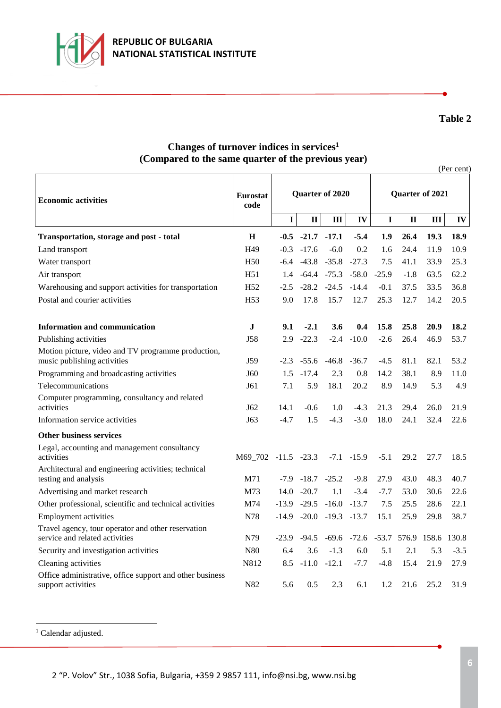

## **Table 2**

# **Changes of turnover indices in services<sup>1</sup> (Compared to the same quarter of the previous year)**

|                                                                                      |                         |                 |              |                         |               |                 |              |       | (Per cent) |  |  |  |  |
|--------------------------------------------------------------------------------------|-------------------------|-----------------|--------------|-------------------------|---------------|-----------------|--------------|-------|------------|--|--|--|--|
| <b>Economic activities</b>                                                           | <b>Eurostat</b><br>code | Quarter of 2020 |              |                         |               | Quarter of 2021 |              |       |            |  |  |  |  |
|                                                                                      |                         | $\mathbf I$     | $\mathbf{I}$ | Ш                       | IV            | I               | $\mathbf{I}$ | III   | IV         |  |  |  |  |
| <b>Transportation, storage and post - total</b>                                      | $\bf H$                 | $-0.5$          | $-21.7$      | $-17.1$                 | $-5.4$        | 1.9             | 26.4         | 19.3  | 18.9       |  |  |  |  |
| Land transport                                                                       | H <sub>49</sub>         | $-0.3$          | $-17.6$      | $-6.0$                  | 0.2           | 1.6             | 24.4         | 11.9  | 10.9       |  |  |  |  |
| Water transport                                                                      | H <sub>50</sub>         | $-6.4$          | $-43.8$      | $-35.8$                 | $-27.3$       | 7.5             | 41.1         | 33.9  | 25.3       |  |  |  |  |
| Air transport                                                                        | H51                     | 1.4             |              | $-64.4$ $-75.3$         | $-58.0$       | $-25.9$         | $-1.8$       | 63.5  | 62.2       |  |  |  |  |
| Warehousing and support activities for transportation                                | H <sub>52</sub>         | $-2.5$          |              | $-28.2 -24.5$           | $-14.4$       | $-0.1$          | 37.5         | 33.5  | 36.8       |  |  |  |  |
| Postal and courier activities                                                        | H <sub>53</sub>         | 9.0             | 17.8         | 15.7                    | 12.7          | 25.3            | 12.7         | 14.2  | 20.5       |  |  |  |  |
| <b>Information and communication</b>                                                 | ${\bf J}$               | 9.1             | $-2.1$       | 3.6                     | 0.4           | 15.8            | 25.8         | 20.9  | 18.2       |  |  |  |  |
| Publishing activities                                                                | <b>J58</b>              | 2.9             | $-22.3$      | $-2.4$                  | $-10.0$       | $-2.6$          | 26.4         | 46.9  | 53.7       |  |  |  |  |
| Motion picture, video and TV programme production,<br>music publishing activities    | J59                     | $-2.3$          | $-55.6$      | $-46.8$                 | $-36.7$       | $-4.5$          | 81.1         | 82.1  | 53.2       |  |  |  |  |
| Programming and broadcasting activities                                              | J60                     | 1.5             | $-17.4$      | 2.3                     | 0.8           | 14.2            | 38.1         | 8.9   | 11.0       |  |  |  |  |
| Telecommunications                                                                   | J61                     | 7.1             | 5.9          | 18.1                    | 20.2          | 8.9             | 14.9         | 5.3   | 4.9        |  |  |  |  |
| Computer programming, consultancy and related<br>activities                          | J62                     | 14.1            | $-0.6$       | 1.0                     | $-4.3$        | 21.3            | 29.4         | 26.0  | 21.9       |  |  |  |  |
| Information service activities                                                       | J63                     | $-4.7$          | 1.5          | $-4.3$                  | $-3.0$        | 18.0            | 24.1         | 32.4  | 22.6       |  |  |  |  |
| <b>Other business services</b>                                                       |                         |                 |              |                         |               |                 |              |       |            |  |  |  |  |
| Legal, accounting and management consultancy<br>activities                           | M69_702 -11.5 -23.3     |                 |              |                         | $-7.1 - 15.9$ | $-5.1$          | 29.2         | 27.7  | 18.5       |  |  |  |  |
| Architectural and engineering activities; technical<br>testing and analysis          | M71                     | $-7.9$          |              | $-18.7 -25.2$           | $-9.8$        | 27.9            | 43.0         | 48.3  | 40.7       |  |  |  |  |
| Advertising and market research                                                      | M73                     | 14.0            | $-20.7$      | 1.1                     | $-3.4$        | $-7.7$          | 53.0         | 30.6  | 22.6       |  |  |  |  |
| Other professional, scientific and technical activities                              | M74                     | $-13.9$         |              | $-29.5 -16.0$           | $-13.7$       | 7.5             | 25.5         | 28.6  | 22.1       |  |  |  |  |
| <b>Employment activities</b>                                                         | N78                     | $-14.9$         |              | $-20.0$ $-19.3$ $-13.7$ |               | 15.1            | 25.9         | 29.8  | 38.7       |  |  |  |  |
| Travel agency, tour operator and other reservation<br>service and related activities | N79                     | $-23.9$         | $-94.5$      | $-69.6$                 | $-72.6$       | $-53.7$         | 576.9        | 158.6 | 130.8      |  |  |  |  |
| Security and investigation activities                                                | N80                     | 6.4             | 3.6          | $-1.3$                  | 6.0           | 5.1             | 2.1          | 5.3   | $-3.5$     |  |  |  |  |
| Cleaning activities                                                                  | N812                    | 8.5             | $-11.0$      | $-12.1$                 | $-7.7$        | $-4.8$          | 15.4         | 21.9  | 27.9       |  |  |  |  |
| Office administrative, office support and other business<br>support activities       | N82                     | 5.6             | 0.5          | 2.3                     | 6.1           | 1.2             | 21.6         | 25.2  | 31.9       |  |  |  |  |

<sup>1</sup> Calendar adjusted.

L,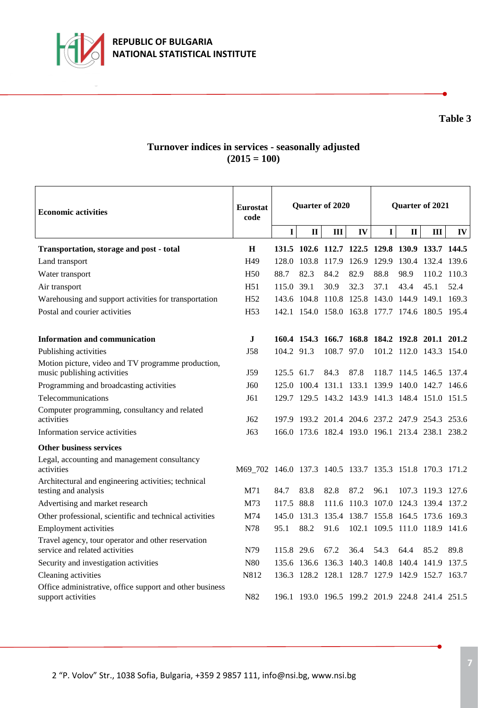

## **Turnover indices in services - seasonally adjusted (2015 = 100)**

| <b>Economic activities</b>                                                           | <b>Eurostat</b><br>code                                 | Quarter of 2020 |              |              |      | Quarter of 2021                     |              |                                                 |           |
|--------------------------------------------------------------------------------------|---------------------------------------------------------|-----------------|--------------|--------------|------|-------------------------------------|--------------|-------------------------------------------------|-----------|
|                                                                                      |                                                         | $\mathbf I$     | $\mathbf{I}$ | $\mathbf{I}$ | IV   | $\mathbf{I}$                        | $\mathbf{I}$ | III                                             | $\bf{IV}$ |
| Transportation, storage and post - total                                             | H                                                       |                 |              |              |      |                                     |              | 131.5 102.6 112.7 122.5 129.8 130.9 133.7 144.5 |           |
| Land transport                                                                       | H <sub>49</sub>                                         | 128.0           | 103.8 117.9  |              |      |                                     |              | 126.9 129.9 130.4 132.4 139.6                   |           |
| Water transport                                                                      | H <sub>50</sub>                                         | 88.7            | 82.3         | 84.2         | 82.9 | 88.8                                | 98.9         | 110.2 110.3                                     |           |
| Air transport                                                                        | H51                                                     | 115.0 39.1      |              | 30.9         | 32.3 | 37.1                                | 43.4         | 45.1                                            | 52.4      |
| Warehousing and support activities for transportation                                | H <sub>52</sub>                                         |                 |              |              |      | 143.6 104.8 110.8 125.8 143.0 144.9 |              | 149.1 169.3                                     |           |
| Postal and courier activities                                                        | H <sub>53</sub>                                         |                 |              |              |      |                                     |              | 142.1 154.0 158.0 163.8 177.7 174.6 180.5 195.4 |           |
| Information and communication                                                        | J                                                       |                 |              |              |      |                                     |              | 160.4 154.3 166.7 168.8 184.2 192.8 201.1 201.2 |           |
| Publishing activities                                                                | <b>J58</b>                                              | 104.2 91.3      |              | 108.7 97.0   |      |                                     |              | 101.2 112.0 143.3 154.0                         |           |
| Motion picture, video and TV programme production,<br>music publishing activities    | J59                                                     | 125.5 61.7      |              | 84.3         | 87.8 |                                     |              | 118.7 114.5 146.5 137.4                         |           |
| Programming and broadcasting activities                                              | J60                                                     |                 |              |              |      |                                     |              | 125.0 100.4 131.1 133.1 139.9 140.0 142.7 146.6 |           |
| Telecommunications                                                                   | J61                                                     |                 |              |              |      |                                     |              | 129.7 129.5 143.2 143.9 141.3 148.4 151.0 151.5 |           |
| Computer programming, consultancy and related<br>activities                          | J <sub>62</sub>                                         |                 |              |              |      |                                     |              | 197.9 193.2 201.4 204.6 237.2 247.9 254.3 253.6 |           |
| Information service activities                                                       | J63                                                     |                 |              |              |      |                                     |              | 166.0 173.6 182.4 193.0 196.1 213.4 238.1 238.2 |           |
| <b>Other business services</b>                                                       |                                                         |                 |              |              |      |                                     |              |                                                 |           |
| Legal, accounting and management consultancy<br>activities                           | M69_702 146.0 137.3 140.5 133.7 135.3 151.8 170.3 171.2 |                 |              |              |      |                                     |              |                                                 |           |
| Architectural and engineering activities; technical<br>testing and analysis          | M71                                                     | 84.7            | 83.8         | 82.8         | 87.2 | 96.1                                |              | 107.3 119.3 127.6                               |           |
| Advertising and market research                                                      | M73                                                     | 117.5 88.8      |              |              |      |                                     |              | 111.6 110.3 107.0 124.3 139.4 137.2             |           |
| Other professional, scientific and technical activities                              | M74                                                     |                 | 145.0 131.3  | 135.4        |      |                                     |              | 138.7 155.8 164.5 173.6 169.3                   |           |
| <b>Employment activities</b>                                                         | N78                                                     | 95.1            | 88.2         | 91.6         |      |                                     |              | 102.1 109.5 111.0 118.9 141.6                   |           |
| Travel agency, tour operator and other reservation<br>service and related activities | N79                                                     | 115.8 29.6      |              | 67.2         | 36.4 | 54.3                                | 64.4         | 85.2                                            | 89.8      |
| Security and investigation activities                                                | N80                                                     |                 |              |              |      |                                     |              | 135.6 136.6 136.3 140.3 140.8 140.4 141.9 137.5 |           |
| Cleaning activities                                                                  | N812                                                    |                 |              |              |      | 136.3 128.2 128.1 128.7 127.9 142.9 |              | 152.7 163.7                                     |           |
| Office administrative, office support and other business<br>support activities       | N82                                                     |                 |              |              |      |                                     |              | 196.1 193.0 196.5 199.2 201.9 224.8 241.4 251.5 |           |